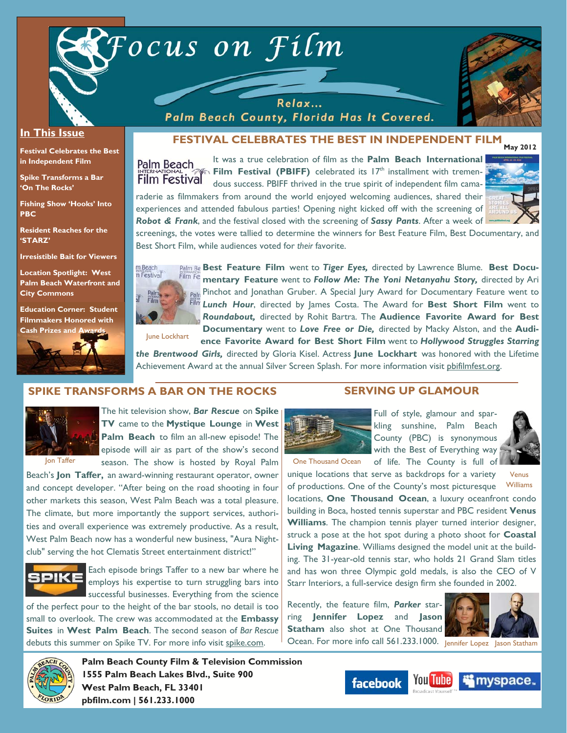

#### **In This Issue**

**Festival Celebrates the Best in Independent Film** 

**Spike Transforms a Bar 'On The Rocks'** 

**Fishing Show 'Hooks' Into PBC** 

**Resident Reaches for the 'STARZ'** 

**Irresistible Bait for Viewers** 

**Location Spotlight: West Palm Beach Waterfront and City Commons** 

**Education Corner: Student Filmmakers Honored with Cash Prizes and** 



**FESTIVAL CELEBRATES THE BEST IN INDEPENDENT FILM** 



It was a true celebration of film as the **Palm Beach International Film Festival (PBIFF)** celebrated its  $17<sup>th</sup>$  installment with tremendous success. PBIFF thrived in the true spirit of independent film camaraderie as filmmakers from around the world enjoyed welcoming audiences, shared their

Relax... Palm Beach County, Florida Has It Covered.



experiences and attended fabulous parties! Opening night kicked off with the screening of *Robot & Frank*, and the festival closed with the screening of *Sassy Pants*. After a week of screenings, the votes were tallied to determine the winners for Best Feature Film, Best Documentary, and Best Short Film, while audiences voted for *their* favorite.



Palm Be Best Feature Film went to Tiger Eyes, directed by Lawrence Blume. Best Docu**mentary Feature** went to *Follow Me: The Yoni Netanyahu Story,* directed by Ari Pinchot and Jonathan Gruber. A Special Jury Award for Documentary Feature went to *Lunch Hour*, directed by James Costa. The Award for **Best Short Film** went to *Roundabout,* directed by Rohit Bartra. The **Audience Favorite Award for Best Documentary** went to *Love Free or Die,* directed by Macky Alston, and the **Audi-**

**ence Favorite Award for Best Short Film** went to *Hollywood Struggles Starring the Brentwood Girls,* directed by Gloria Kisel. Actress **June Lockhart** was honored with the Lifetime Achievement Award at the annual Silver Screen Splash. For more information visit pbifilmfest.org.

#### **SPIKE TRANSFORMS A BAR ON THE ROCKS**



The hit television show, *Bar Rescue* on **Spike TV** came to the **Mystique Lounge** in **West Palm Beach** to film an all-new episode! The episode will air as part of the show's second season. The show is hosted by Royal Palm

Beach's **Jon Taffer,** an award-winning restaurant operator, owner and concept developer. "After being on the road shooting in four other markets this season, West Palm Beach was a total pleasure. The climate, but more importantly the support services, authorities and overall experience was extremely productive. As a result, West Palm Beach now has a wonderful new business, "Aura Nightclub" serving the hot Clematis Street entertainment district!"



Each episode brings Taffer to a new bar where he employs his expertise to turn struggling bars into successful businesses. Everything from the science

of the perfect pour to the height of the bar stools, no detail is too small to overlook. The crew was accommodated at the **Embassy Suites** in **West Palm Beach**. The second season of *Bar Rescue* debuts this summer on Spike TV. For more info visit spike.com.



Full of style, glamour and sparkling sunshine, Palm Beach County (PBC) is synonymous with the Best of Everything way



One Thousand Ocean of life. The County is full of

Venus

unique locations that serve as backdrops for a variety of productions. One of the County's most picturesque locations, **One Thousand Ocean**, a luxury oceanfront condo building in Boca, hosted tennis superstar and PBC resident **Venus Williams**. The champion tennis player turned interior designer, struck a pose at the hot spot during a photo shoot for **Coastal Living Magazine**. Williams designed the model unit at the building. The 31-year-old tennis star, who holds 21 Grand Slam titles and has won three Olympic gold medals, is also the CEO of V Starr Interiors, a full-service design firm she founded in 2002. Williams

**SERVING UP GLAMOUR** 

Recently, the feature film, *Parker* starring **Jennifer Lopez** and **Jason Statham** also shot at One Thousand Ocean. For more info call 561.233.1000. Jennifer Lopez Jason Statham





**Palm Beach County Film & Television Commission 1555 Palm Beach Lakes Blvd., Suite 900 West Palm Beach, FL 33401 pbfilm.com | 561.233.1000** 

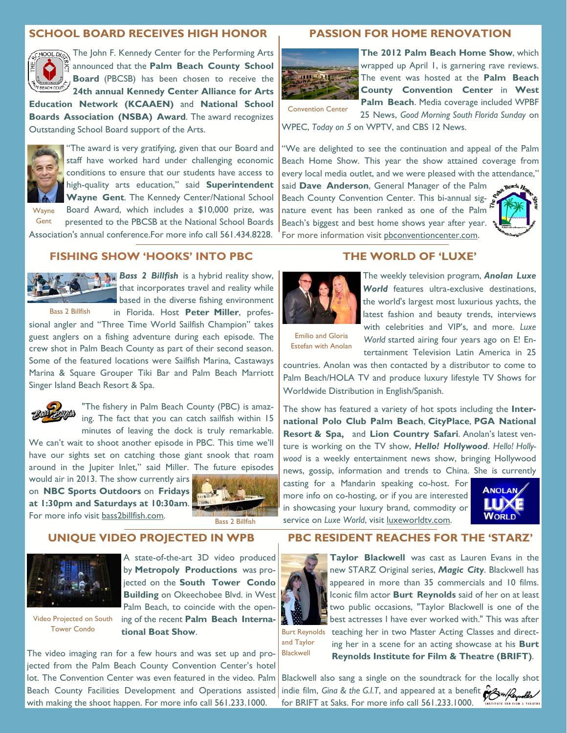#### **SCHOOL BOARD RECEIVES HIGH HONOR**



**SHOOLD The John F. Kennedy Center for the Performing Arts** announced that the **Palm Beach County School Board** (PBCSB) has been chosen to receive the **24th annual Kennedy Center Alliance for Arts** 

**Education Network (KCAAEN)** and **National School Boards Association (NSBA) Award**. The award recognizes Outstanding School Board support of the Arts.



'The award is very gratifying, given that our Board and staff have worked hard under challenging economic conditions to ensure that our students have access to high-quality arts education," said **Superintendent Wayne Gent**. The Kennedy Center/National School

**Gent** 

Board Award, which includes a \$10,000 prize, was presented to the PBCSB at the National School Boards **Wayne** 

# Association's annual conference.For more info call 561.434.8228.

#### **FISHING SHOW 'HOOKS' INTO PBC**



**Bass 2 Billfish** is a hybrid reality show, that incorporates travel and reality while based in the diverse fishing environment in Florida. Host **Peter Miller**, profes-

sional angler and "Three Time World Sailfish Champion" takes guest anglers on a fishing adventure during each episode. The crew shot in Palm Beach County as part of their second season. Some of the featured locations were Sailfish Marina, Castaways Marina & Square Grouper Tiki Bar and Palm Beach Marriott Singer Island Beach Resort & Spa.



"The fishery in Palm Beach County (PBC) is amazing. The fact that you can catch sailfish within 15 minutes of leaving the dock is truly remarkable.

We can't wait to shoot another episode in PBC. This time we'll have our sights set on catching those giant snook that roam around in the Jupiter Inlet," said Miller. The future episodes

would air in 2013. The show currently airs on **NBC Sports Outdoors** on **Fridays at 1:30pm and Saturdays at 10:30am**. For more info visit bass2billfish.com.



#### **UNIQUE VIDEO PROJECTED IN WPB**



Video Projected on South Tower Condo

A state-of-the-art 3D video produced by **Metropoly Productions** was projected on the **South Tower Condo Building** on Okeechobee Blvd. in West Palm Beach, to coincide with the opening of the recent **Palm Beach International Boat Show**.

The video imaging ran for a few hours and was set up and projected from the Palm Beach County Convention Center's hotel lot. The Convention Center was even featured in the video. Palm Beach County Facilities Development and Operations assisted with making the shoot happen. For more info call 561.233.1000.

#### **PASSION FOR HOME RENOVATION**



**The 2012 Palm Beach Home Show**, which wrapped up April 1, is garnering rave reviews. The event was hosted at the **Palm Beach County Convention Center** in **West Palm Beach**. Media coverage included WPBF

Convention Center

25 News, *Good Morning South Florida Sunday* on WPEC, *Today on 5* on WPTV, and CBS 12 News.

"We are delighted to see the continuation and appeal of the Palm Beach Home Show. This year the show attained coverage from every local media outlet, and we were pleased with the attendance,"

said **Dave Anderson**, General Manager of the Palm Beach County Convention Center. This bi-annual signature event has been ranked as one of the Palm Beach's biggest and best home shows year after year. For more information visit pbconventioncenter.com.



### **THE WORLD OF 'LUXE'**



The weekly television program, *Anolan Luxe World* features ultra-exclusive destinations, the world's largest most luxurious yachts, the latest fashion and beauty trends, interviews with celebrities and VIP's, and more. *Luxe World* started airing four years ago on E! Entertainment Television Latin America in 25

Emilio and Gloria Estefan with Anolan

countries. Anolan was then contacted by a distributor to come to Palm Beach/HOLA TV and produce luxury lifestyle TV Shows for Worldwide Distribution in English/Spanish.

The show has featured a variety of hot spots including the **International Polo Club Palm Beach**, **CityPlace**, **PGA National Resort & Spa,** and **Lion Country Safari**. Anolan's latest venture is working on the TV show, *Hello! Hollywood*. *Hello! Hollywood* is a weekly entertainment news show, bringing Hollywood news, gossip, information and trends to China. She is currently

casting for a Mandarin speaking co-host. For more info on co-hosting, or if you are interested in showcasing your luxury brand, commodity or service on *Luxe World*, visit luxeworldtv.com.



#### **PBC RESIDENT REACHES FOR THE 'STARZ'**



**Taylor Blackwell** was cast as Lauren Evans in the new STARZ Original series, *Magic City*. Blackwell has appeared in more than 35 commercials and 10 films. Iconic film actor **Burt Reynolds** said of her on at least two public occasions, "Taylor Blackwell is one of the best actresses I have ever worked with." This was after teaching her in two Master Acting Classes and direct-Burt Reynolds

and Taylor Blackwell

ing her in a scene for an acting showcase at his **Burt Reynolds Institute for Film & Theatre (BRIFT)**.

Blackwell also sang a single on the soundtrack for the locally shot indie film, *Gina & the G.I.T*, and appeared at a benefit **of Surfley**  $\mathscr{U}$ for BRIFT at Saks. For more info call 561.233.1000. INSTITUTE FOR FILM & THEATRE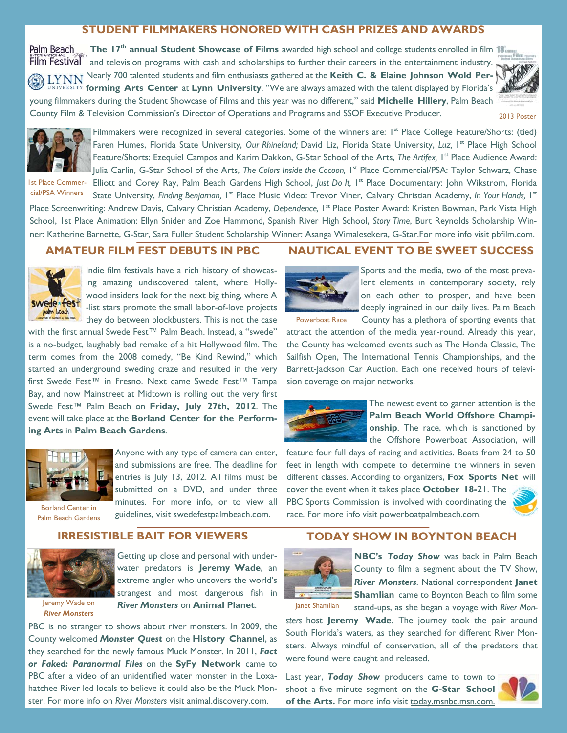## **STUDENT FILMMAKERS HONORED WITH CASH PRIZES AND AWARDS**

**The 17<sup>th</sup> annual Student Showcase of Films** awarded high school and college students enrolled in film 18<sup>th</sup> Palm Beach **Film Festival** and television programs with cash and scholarships to further their careers in the entertainment industry. **EXNIN** Nearly 700 talented students and film enthusiasts gathered at the Keith C. & Elaine Johnson Wold Per**forming Arts Center at Lynn University.** "We are always amazed with the talent displayed by Florida's **A** young filmmakers during the Student Showcase of Films and this year was no different," said **Michelle Hillery**, Palm Beach County Film & Television Commission's Director of Operations and Programs and SSOF Executive Producer.



2013 Poster



cial/PSA Winners

Filmmakers were recognized in several categories. Some of the winners are: I<sup>st</sup> Place College Feature/Shorts: (tied) Faren Humes, Florida State University, Our Rhineland; David Liz, Florida State University, Luz, I<sup>st</sup> Place High School Feature/Shorts: Ezequiel Campos and Karim Dakkon, G-Star School of the Arts, *The Artifex*, <sup>1st</sup> Place Audience Award: Julia Carlin, G-Star School of the Arts, *The Colors Inside the Cocoon*, <sup>1st</sup> Place Commercial/PSA: Taylor Schwarz, Chase Ist Place Commer- Elliott and Corey Ray, Palm Beach Gardens High School, Just Do It, I<sup>st</sup> Place Documentary: John Wikstrom, Florida

State University, *Finding Benjaman*, 1<sup>st</sup> Place Music Video: Trevor Viner, Calvary Christian Academy, *In Your Hands*, 1st Place Screenwriting: Andrew Davis, Calvary Christian Academy, Dependence, <sup>1st</sup> Place Poster Award: Kristen Bowman, Park Vista High School, 1st Place Animation: Ellyn Snider and Zoe Hammond, Spanish River High School, *Story Time*, Burt Reynolds Scholarship Winner: Katherine Barnette, G-Star, Sara Fuller Student Scholarship Winner: Asanga Wimalesekera, G-Star.For more info visit pbfilm.com.

## **AMATEUR FILM FEST DEBUTS IN PBC**



Indie film festivals have a rich history of showcasing amazing undiscovered talent, where Hollywood insiders look for the next big thing, where A -list stars promote the small labor-of-love projects they do between blockbusters. This is not the case

with the first annual Swede Fest<sup>™</sup> Palm Beach. Instead, a "swede" is a no-budget, laughably bad remake of a hit Hollywood film. The term comes from the 2008 comedy, "Be Kind Rewind," which started an underground sweding craze and resulted in the very first Swede Fest™ in Fresno. Next came Swede Fest™ Tampa Bay, and now Mainstreet at Midtown is rolling out the very first Swede Fest™ Palm Beach on **Friday, July 27th, 2012**. The event will take place at the **Borland Center for the Performing Arts** in **Palm Beach Gardens**.



Anyone with any type of camera can enter, and submissions are free. The deadline for entries is July 13, 2012. All films must be submitted on a DVD, and under three minutes. For more info, or to view all guidelines, visit swedefestpalmbeach.com.

Palm Beach Gardens **IRRESISTIBLE BAIT FOR VIEWERS** 



Getting up close and personal with underwater predators is **Jeremy Wade**, an extreme angler who uncovers the world's strangest and most dangerous fish in

Jeremy Wade on *River Monsters*

*River Monsters* on **Animal Planet**. PBC is no stranger to shows about river monsters. In 2009, the County welcomed *Monster Quest* on the **History Channel**, as they searched for the newly famous Muck Monster. In 2011, *Fact* 

*or Faked: Paranormal Files* on the **SyFy Network** came to PBC after a video of an unidentified water monster in the Loxahatchee River led locals to believe it could also be the Muck Monster. For more info on *River Monsters* visit animal.discovery.com.

#### **NAUTICAL EVENT TO BE SWEET SUCCESS**



Sports and the media, two of the most prevalent elements in contemporary society, rely on each other to prosper, and have been deeply ingrained in our daily lives. Palm Beach County has a plethora of sporting events that

attract the attention of the media year-round. Already this year, the County has welcomed events such as The Honda Classic, The Sailfish Open, The International Tennis Championships, and the Barrett-Jackson Car Auction. Each one received hours of television coverage on major networks. Powerboat Race



The newest event to garner attention is the **Palm Beach World Offshore Championship**. The race, which is sanctioned by the Offshore Powerboat Association, will

feature four full days of racing and activities. Boats from 24 to 50 feet in length with compete to determine the winners in seven different classes. According to organizers, **Fox Sports Net** will cover the event when it takes place **October 18-21**. The PBC Sports Commission is involved with coordinating the race. For more info visit powerboatpalmbeach.com.



### **TODAY SHOW IN BOYNTON BEACH**



**NBC's** *Today Show* was back in Palm Beach County to film a segment about the TV Show, *River Monsters*. National correspondent **Janet Shamlian** came to Boynton Beach to film some stand-ups, as she began a voyage with *River Mon-*

Janet Shamlian

*sters* host **Jeremy Wade**. The journey took the pair around South Florida's waters, as they searched for different River Monsters. Always mindful of conservation, all of the predators that were found were caught and released.

Last year, *Today Show* producers came to town to shoot a five minute segment on the **G-Star School of the Arts.** For more info visit today.msnbc.msn.com.